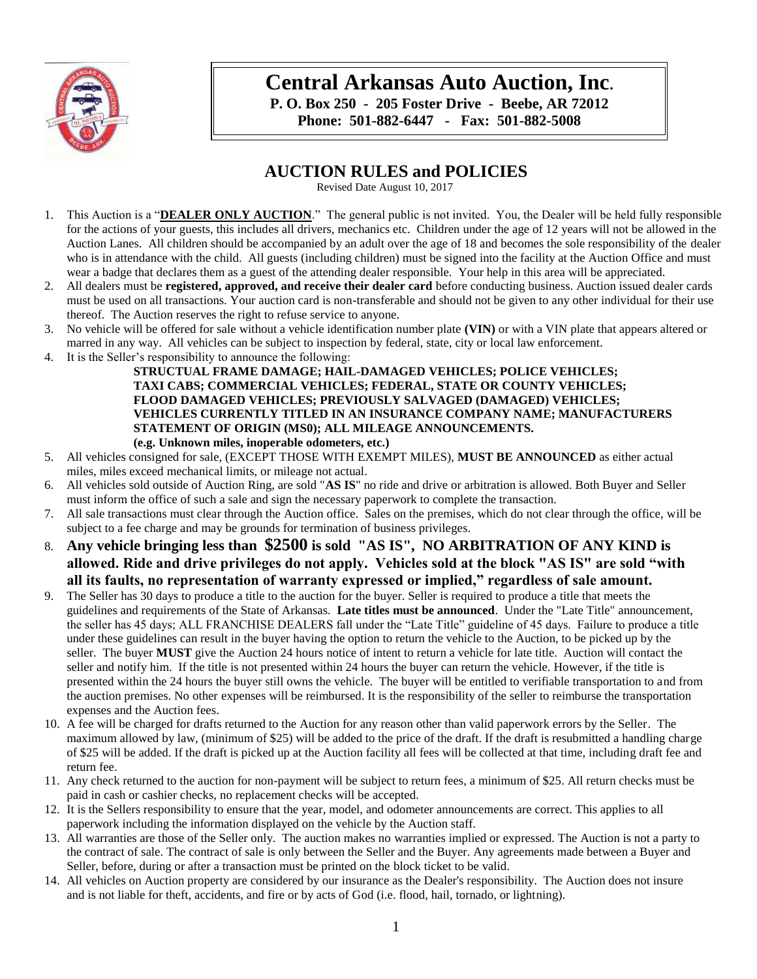

# **Central Arkansas Auto Auction, Inc.**

**P. O. Box 250 - 205 Foster Drive - Beebe, AR 72012 Phone: 501-882-6447 - Fax: 501-882-5008**

# **AUCTION RULES and POLICIES**

Revised Date August 10, 2017

- 1. This Auction is a "**DEALER ONLY AUCTION**." The general public is not invited. You, the Dealer will be held fully responsible for the actions of your guests, this includes all drivers, mechanics etc. Children under the age of 12 years will not be allowed in the Auction Lanes. All children should be accompanied by an adult over the age of 18 and becomes the sole responsibility of the dealer who is in attendance with the child. All guests (including children) must be signed into the facility at the Auction Office and must wear a badge that declares them as a guest of the attending dealer responsible. Your help in this area will be appreciated.
- 2. All dealers must be **registered, approved, and receive their dealer card** before conducting business. Auction issued dealer cards must be used on all transactions. Your auction card is non-transferable and should not be given to any other individual for their use thereof. The Auction reserves the right to refuse service to anyone.
- 3. No vehicle will be offered for sale without a vehicle identification number plate **(VIN)** or with a VIN plate that appears altered or marred in any way. All vehicles can be subject to inspection by federal, state, city or local law enforcement.
- 4. It is the Seller's responsibility to announce the following:

**STRUCTUAL FRAME DAMAGE; HAIL-DAMAGED VEHICLES; POLICE VEHICLES; TAXI CABS; COMMERCIAL VEHICLES; FEDERAL, STATE OR COUNTY VEHICLES; FLOOD DAMAGED VEHICLES; PREVIOUSLY SALVAGED (DAMAGED) VEHICLES; VEHICLES CURRENTLY TITLED IN AN INSURANCE COMPANY NAME; MANUFACTURERS STATEMENT OF ORIGIN (MS0); ALL MILEAGE ANNOUNCEMENTS. (e.g. Unknown miles, inoperable odometers, etc.)**

- 5. All vehicles consigned for sale, (EXCEPT THOSE WITH EXEMPT MILES), **MUST BE ANNOUNCED** as either actual miles, miles exceed mechanical limits, or mileage not actual.
- 6. All vehicles sold outside of Auction Ring, are sold "**AS IS**" no ride and drive or arbitration is allowed. Both Buyer and Seller must inform the office of such a sale and sign the necessary paperwork to complete the transaction.
- 7. All sale transactions must clear through the Auction office. Sales on the premises, which do not clear through the office, will be subject to a fee charge and may be grounds for termination of business privileges.
- 8. **Any vehicle bringing less than \$2500 is sold "AS IS", NO ARBITRATION OF ANY KIND is allowed. Ride and drive privileges do not apply. Vehicles sold at the block "AS IS" are sold "with all its faults, no representation of warranty expressed or implied," regardless of sale amount.**
- 9. The Seller has 30 days to produce a title to the auction for the buyer. Seller is required to produce a title that meets the guidelines and requirements of the State of Arkansas. **Late titles must be announced**. Under the "Late Title" announcement, the seller has 45 days; ALL FRANCHISE DEALERS fall under the "Late Title" guideline of 45 days. Failure to produce a title under these guidelines can result in the buyer having the option to return the vehicle to the Auction, to be picked up by the seller. The buyer **MUST** give the Auction 24 hours notice of intent to return a vehicle for late title. Auction will contact the seller and notify him. If the title is not presented within 24 hours the buyer can return the vehicle. However, if the title is presented within the 24 hours the buyer still owns the vehicle. The buyer will be entitled to verifiable transportation to and from the auction premises. No other expenses will be reimbursed. It is the responsibility of the seller to reimburse the transportation expenses and the Auction fees.
- 10. A fee will be charged for drafts returned to the Auction for any reason other than valid paperwork errors by the Seller. The maximum allowed by law, (minimum of \$25) will be added to the price of the draft. If the draft is resubmitted a handling charge of \$25 will be added. If the draft is picked up at the Auction facility all fees will be collected at that time, including draft fee and return fee.
- 11. Any check returned to the auction for non-payment will be subject to return fees, a minimum of \$25. All return checks must be paid in cash or cashier checks, no replacement checks will be accepted.
- 12. It is the Sellers responsibility to ensure that the year, model, and odometer announcements are correct. This applies to all paperwork including the information displayed on the vehicle by the Auction staff.
- 13. All warranties are those of the Seller only. The auction makes no warranties implied or expressed. The Auction is not a party to the contract of sale. The contract of sale is only between the Seller and the Buyer. Any agreements made between a Buyer and Seller, before, during or after a transaction must be printed on the block ticket to be valid.
- 14. All vehicles on Auction property are considered by our insurance as the Dealer's responsibility. The Auction does not insure and is not liable for theft, accidents, and fire or by acts of God (i.e. flood, hail, tornado, or lightning).